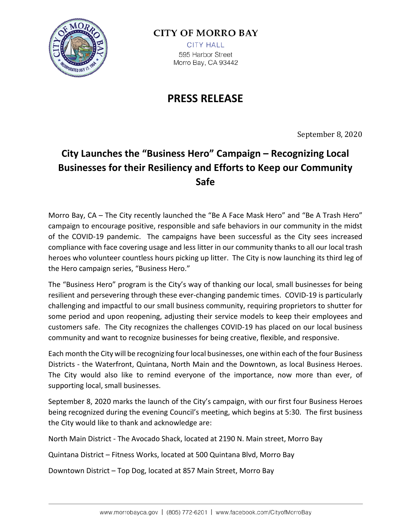

## **CITY OF MORRO BAY**

**CITY HALL** 595 Harbor Street Morro Bay, CA 93442

## **PRESS RELEASE**

September 8, 2020

## **City Launches the "Business Hero" Campaign – Recognizing Local Businesses for their Resiliency and Efforts to Keep our Community Safe**

Morro Bay, CA – The City recently launched the "Be A Face Mask Hero" and "Be A Trash Hero" campaign to encourage positive, responsible and safe behaviors in our community in the midst of the COVID-19 pandemic. The campaigns have been successful as the City sees increased compliance with face covering usage and less litter in our community thanks to all our local trash heroes who volunteer countless hours picking up litter. The City is now launching its third leg of the Hero campaign series, "Business Hero."

The "Business Hero" program is the City's way of thanking our local, small businesses for being resilient and persevering through these ever-changing pandemic times. COVID-19 is particularly challenging and impactful to our small business community, requiring proprietors to shutter for some period and upon reopening, adjusting their service models to keep their employees and customers safe. The City recognizes the challenges COVID-19 has placed on our local business community and want to recognize businesses for being creative, flexible, and responsive.

Each month the City will be recognizing four local businesses, one within each of the four Business Districts - the Waterfront, Quintana, North Main and the Downtown, as local Business Heroes. The City would also like to remind everyone of the importance, now more than ever, of supporting local, small businesses.

September 8, 2020 marks the launch of the City's campaign, with our first four Business Heroes being recognized during the evening Council's meeting, which begins at 5:30. The first business the City would like to thank and acknowledge are:

North Main District - The Avocado Shack, located at 2190 N. Main street, Morro Bay

Quintana District – Fitness Works, located at 500 Quintana Blvd, Morro Bay

Downtown District – Top Dog, located at 857 Main Street, Morro Bay